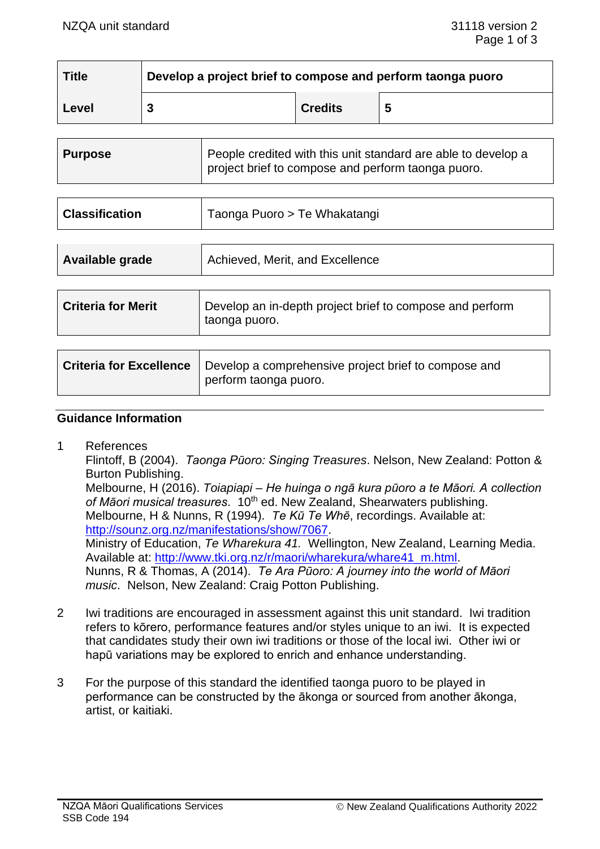| <b>Title</b> | Develop a project brief to compose and perform taonga puoro |                |   |
|--------------|-------------------------------------------------------------|----------------|---|
| Level        |                                                             | <b>Credits</b> | 5 |

| <b>Purpose</b> | People credited with this unit standard are able to develop a<br>project brief to compose and perform taonga puoro. |
|----------------|---------------------------------------------------------------------------------------------------------------------|
|                |                                                                                                                     |

| <b>Classification</b> | Taonga Puoro > Te Whakatangi |
|-----------------------|------------------------------|
|-----------------------|------------------------------|

| Available grade | Achieved, Merit, and Excellence |
|-----------------|---------------------------------|
|                 |                                 |

| <b>Criteria for Merit</b> | Develop an in-depth project brief to compose and perform<br>taonga puoro. |
|---------------------------|---------------------------------------------------------------------------|
|                           |                                                                           |

| <b>Criteria for Excellence</b>   Develop a comprehensive project brief to compose and |  |
|---------------------------------------------------------------------------------------|--|
| perform taonga puoro.                                                                 |  |

#### **Guidance Information**

1 References

Flintoff, B (2004). *Taonga Pūoro: Singing Treasures*. Nelson, New Zealand: Potton & Burton Publishing.

Melbourne, H (2016). *Toiapiapi – He huinga o ngā kura pūoro a te Māori. A collection*  of Māori musical treasures. 10<sup>th</sup> ed. New Zealand, Shearwaters publishing. Melbourne, H & Nunns, R (1994). *Te Kū Te Whē*, recordings. Available at: [http://sounz.org.nz/manifestations/show/7067.](http://sounz.org.nz/manifestations/show/7067) Ministry of Education, *Te Wharekura 41.* Wellington, New Zealand, Learning Media. Available at: [http://www.tki.org.nz/r/maori/wharekura/whare41\\_m.html.](http://www.tki.org.nz/r/maori/wharekura/whare41_m.html) Nunns, R & Thomas, A (2014). *Te Ara Pūoro: A journey into the world of Māori* 

*music*. Nelson, New Zealand: Craig Potton Publishing.

- 2 Iwi traditions are encouraged in assessment against this unit standard. Iwi tradition refers to kōrero, performance features and/or styles unique to an iwi. It is expected that candidates study their own iwi traditions or those of the local iwi. Other iwi or hapū variations may be explored to enrich and enhance understanding.
- 3 For the purpose of this standard the identified taonga puoro to be played in performance can be constructed by the ākonga or sourced from another ākonga, artist, or kaitiaki.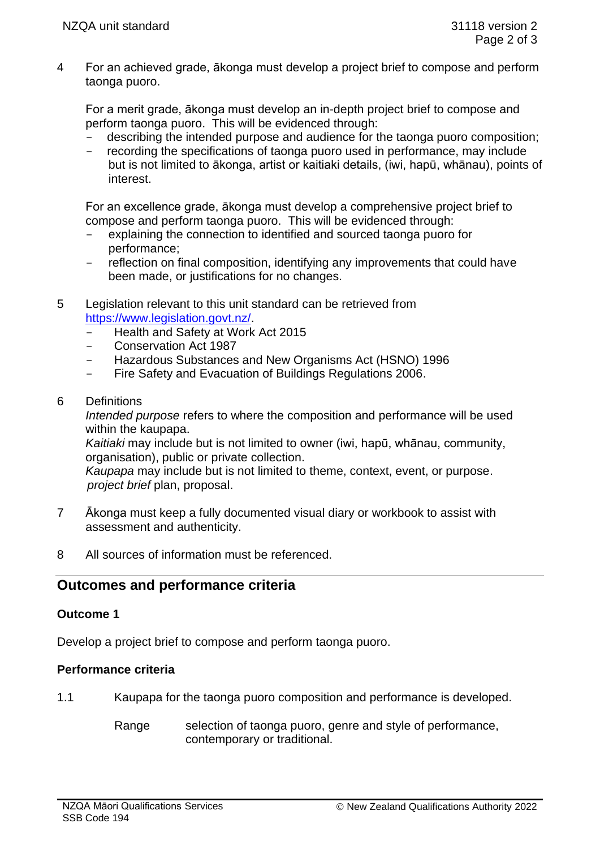4 For an achieved grade, ākonga must develop a project brief to compose and perform taonga puoro.

For a merit grade, ākonga must develop an in-depth project brief to compose and perform taonga puoro. This will be evidenced through:

- describing the intended purpose and audience for the taonga puoro composition;<br>- recording the specifications of taonga puoro used in performance, may include
- recording the specifications of taonga puoro used in performance, may include but is not limited to ākonga, artist or kaitiaki details, (iwi, hapū, whānau), points of interest.

For an excellence grade, ākonga must develop a comprehensive project brief to compose and perform taonga puoro. This will be evidenced through:

- explaining the connection to identified and sourced taonga puoro for performance;
- reflection on final composition, identifying any improvements that could have been made, or justifications for no changes.
- 5 Legislation relevant to this unit standard can be retrieved from [https://www.legislation.govt.nz/.](https://www.legislation.govt.nz/)
	- Health and Safety at Work Act 2015
	- Conservation Act 1987
	- Hazardous Substances and New Organisms Act (HSNO) 1996
	- Fire Safety and Evacuation of Buildings Regulations 2006.
- 6 Definitions

*Intended purpose* refers to where the composition and performance will be used within the kaupapa.

*Kaitiaki* may include but is not limited to owner (iwi, hapū, whānau, community, organisation), public or private collection.

*Kaupapa* may include but is not limited to theme, context, event, or purpose. *project brief* plan, proposal.

- 7 Ākonga must keep a fully documented visual diary or workbook to assist with assessment and authenticity.
- 8 All sources of information must be referenced.

# **Outcomes and performance criteria**

## **Outcome 1**

Develop a project brief to compose and perform taonga puoro.

## **Performance criteria**

- 1.1 Kaupapa for the taonga puoro composition and performance is developed.
	- Range selection of taonga puoro, genre and style of performance, contemporary or traditional.